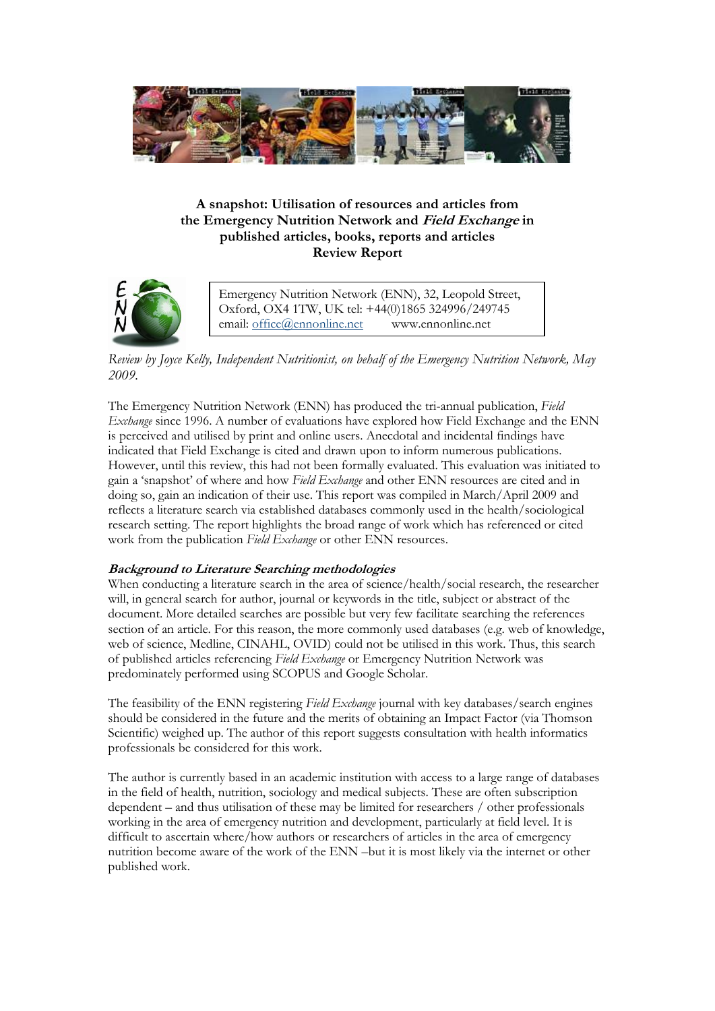

# **A snapshot: Utilisation of resources and articles from the Emergency Nutrition Network and Field Exchange in published articles, books, reports and articles Review Report**



Emergency Nutrition Network (ENN), 32, Leopold Street, Oxford, OX4 1TW, UK tel: +44(0)1865 324996/249745 email: [office@ennonline.net](mailto:office@ennonline.net) www.ennonline.net

*Review by Joyce Kelly, Independent Nutritionist, on behalf of the Emergency Nutrition Network, May 2009.*

The Emergency Nutrition Network (ENN) has produced the tri-annual publication, *Field Exchange* since 1996. A number of evaluations have explored how Field Exchange and the ENN is perceived and utilised by print and online users. Anecdotal and incidental findings have indicated that Field Exchange is cited and drawn upon to inform numerous publications. However, until this review, this had not been formally evaluated. This evaluation was initiated to gain a 'snapshot' of where and how *Field Exchange* and other ENN resources are cited and in doing so, gain an indication of their use. This report was compiled in March/April 2009 and reflects a literature search via established databases commonly used in the health/sociological research setting. The report highlights the broad range of work which has referenced or cited work from the publication *Field Exchange* or other ENN resources.

### **Background to Literature Searching methodologies**

When conducting a literature search in the area of science/health/social research, the researcher will, in general search for author, journal or keywords in the title, subject or abstract of the document. More detailed searches are possible but very few facilitate searching the references section of an article. For this reason, the more commonly used databases (e.g. web of knowledge, web of science, Medline, CINAHL, OVID) could not be utilised in this work. Thus, this search of published articles referencing *Field Exchange* or Emergency Nutrition Network was predominately performed using SCOPUS and Google Scholar.

The feasibility of the ENN registering *Field Exchange* journal with key databases/search engines should be considered in the future and the merits of obtaining an Impact Factor (via Thomson Scientific) weighed up. The author of this report suggests consultation with health informatics professionals be considered for this work.

The author is currently based in an academic institution with access to a large range of databases in the field of health, nutrition, sociology and medical subjects. These are often subscription dependent – and thus utilisation of these may be limited for researchers / other professionals working in the area of emergency nutrition and development, particularly at field level. It is difficult to ascertain where/how authors or researchers of articles in the area of emergency nutrition become aware of the work of the ENN –but it is most likely via the internet or other published work.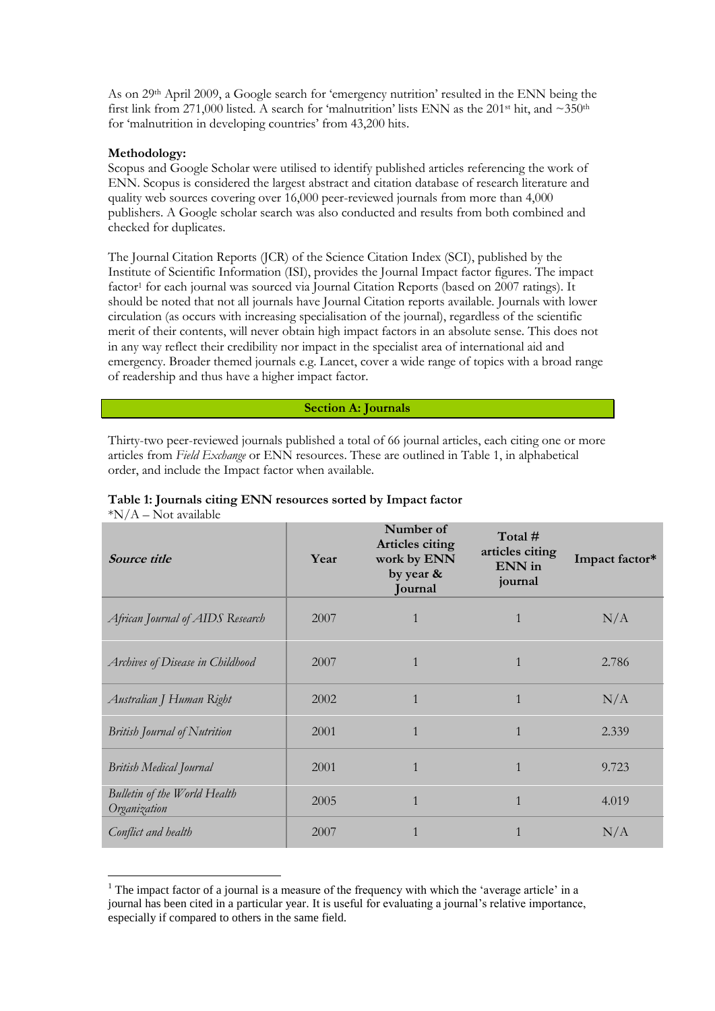As on 29th April 2009, a Google search for 'emergency nutrition' resulted in the ENN being the first link from 271,000 listed. A search for 'malnutrition' lists ENN as the 201<sup>st</sup> hit, and  $\sim$ 350<sup>th</sup> for 'malnutrition in developing countries' from 43,200 hits.

#### **Methodology:**

<u>.</u>

Scopus and Google Scholar were utilised to identify published articles referencing the work of ENN. Scopus is considered the largest abstract and citation database of research literature and quality web sources covering over 16,000 peer-reviewed journals from more than 4,000 publishers. A Google scholar search was also conducted and results from both combined and checked for duplicates.

The Journal Citation Reports (JCR) of the Science Citation Index (SCI), published by the Institute of Scientific Information (ISI), provides the Journal Impact factor figures. The impact factor<sup>1</sup> for each journal was sourced via Journal Citation Reports (based on 2007 ratings). It should be noted that not all journals have Journal Citation reports available. Journals with lower circulation (as occurs with increasing specialisation of the journal), regardless of the scientific merit of their contents, will never obtain high impact factors in an absolute sense. This does not in any way reflect their credibility nor impact in the specialist area of international aid and emergency. Broader themed journals e.g. Lancet, cover a wide range of topics with a broad range of readership and thus have a higher impact factor.

#### **Section A: Journals**

Thirty-two peer-reviewed journals published a total of 66 journal articles, each citing one or more articles from *Field Exchange* or ENN resources. These are outlined in Table 1, in alphabetical order, and include the Impact factor when available.

| Source title                                 | Year | Number of<br><b>Articles citing</b><br>work by ENN<br>by year &<br>Journal | Total #<br>articles citing<br>ENN in<br>journal | Impact factor* |
|----------------------------------------------|------|----------------------------------------------------------------------------|-------------------------------------------------|----------------|
| African Journal of AIDS Research             | 2007 | $\mathbf{1}$                                                               | $\mathbf{1}$                                    | N/A            |
| Archives of Disease in Childhood             | 2007 | $\mathbf{1}$                                                               | $\mathbf{1}$                                    | 2.786          |
| Australian J Human Right                     | 2002 | $\mathbf{1}$                                                               | $\mathbf{1}$                                    | N/A            |
| <b>British Journal of Nutrition</b>          | 2001 | $\mathbf{1}$                                                               | $\mathbf{1}$                                    | 2.339          |
| <b>British Medical Journal</b>               | 2001 | $\mathbf{1}$                                                               | $\mathbf{1}$                                    | 9.723          |
| Bulletin of the World Health<br>Organization | 2005 | $\mathbf{1}$                                                               | $\mathbf{1}$                                    | 4.019          |
| Conflict and health                          | 2007 | $\mathbf{1}$                                                               | 1                                               | N/A            |

#### **Table 1: Journals citing ENN resources sorted by Impact factor**  $*N/A - Not available$

 $<sup>1</sup>$  The impact factor of a journal is a measure of the frequency with which the 'average article' in a</sup> journal has been cited in a particular year. It is useful for evaluating a journal's relative importance, especially if compared to others in the same field.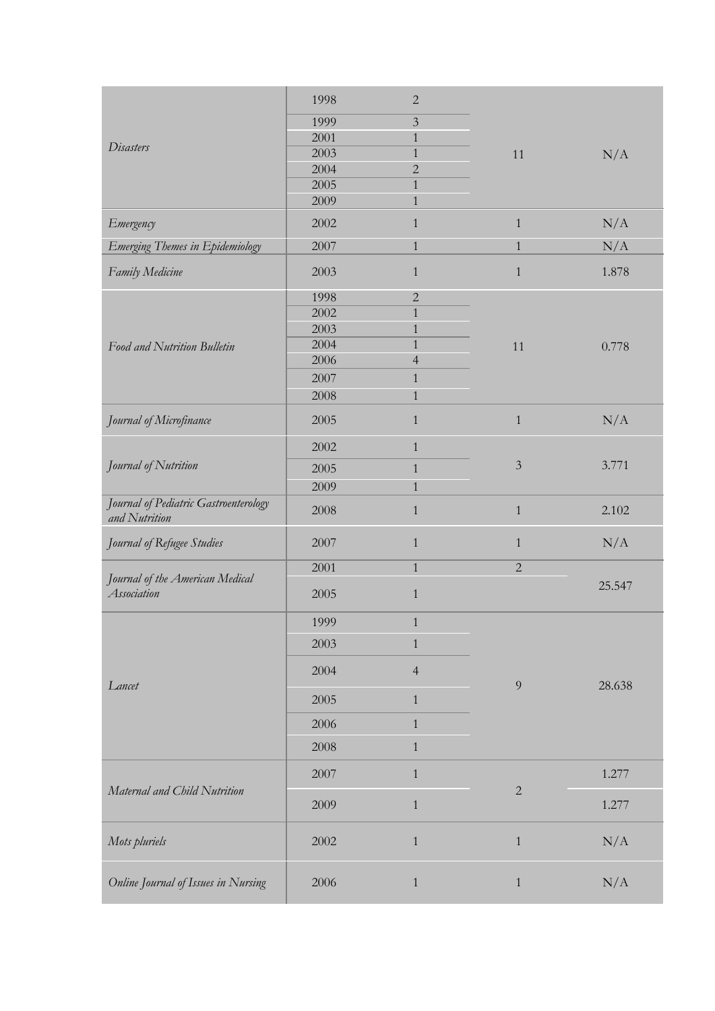|                                                        | 1998 | $\sqrt{2}$     |                |           |
|--------------------------------------------------------|------|----------------|----------------|-----------|
|                                                        | 1999 | $\overline{3}$ |                |           |
|                                                        | 2001 | $\mathbf{1}$   |                |           |
| <b>Disasters</b>                                       | 2003 | 1              | 11             | N/A       |
|                                                        | 2004 | $\overline{2}$ |                |           |
|                                                        | 2005 | $\mathbf{1}$   |                |           |
|                                                        | 2009 | $\mathbf{1}$   |                |           |
| Emergency                                              | 2002 | $\mathbf{1}$   | $\mathbf{1}$   | N/A       |
| Emerging Themes in Epidemiology                        | 2007 | $\mathbf{1}$   | $\,1$          | N/A       |
| Family Medicine                                        | 2003 | $\mathbf{1}$   | $\mathbf{1}$   | 1.878     |
|                                                        | 1998 | $\overline{2}$ |                |           |
|                                                        | 2002 | $\mathbf{1}$   |                |           |
|                                                        | 2003 | $\mathbf{1}$   |                |           |
| Food and Nutrition Bulletin                            | 2004 | $\mathbf{1}$   | 11             | 0.778     |
|                                                        | 2006 | $\overline{4}$ |                |           |
|                                                        | 2007 | $\mathbf{1}$   |                |           |
|                                                        | 2008 | $\mathbf{1}$   |                |           |
| Journal of Microfinance                                | 2005 | $\mathbf{1}$   | $\,1$          | N/A       |
|                                                        | 2002 | $\mathbf{1}$   |                |           |
| Journal of Nutrition                                   | 2005 | $\mathbf{1}$   | $\overline{3}$ | 3.771     |
|                                                        | 2009 | $\mathbf{1}$   |                |           |
| Journal of Pediatric Gastroenterology<br>and Nutrition | 2008 | $\mathbf{1}$   | $\mathbf{1}$   | 2.102     |
| Journal of Refugee Studies                             | 2007 | 1              | $\mathbf{1}$   | N/A       |
|                                                        | 2001 | $\mathbf{1}$   | $\overline{2}$ |           |
| Journal of the American Medical<br>Association         | 2005 | $\mathbf{1}$   |                | 25.547    |
|                                                        | 1999 | 1              |                |           |
|                                                        | 2003 | $\mathbf{1}$   |                |           |
| Lancet                                                 | 2004 | $\overline{4}$ | 9              | 28.638    |
|                                                        | 2005 | $\mathbf{1}$   |                |           |
|                                                        | 2006 | $\mathbf{1}$   |                |           |
|                                                        | 2008 | $\mathbf{1}$   |                |           |
| Maternal and Child Nutrition                           | 2007 | $\mathbf{1}$   | $\overline{2}$ | 1.277     |
|                                                        | 2009 | $\mathbf{1}$   |                | 1.277     |
| Mots pluriels                                          | 2002 | $\mathbf{1}$   | $\,1$          | $\rm N/A$ |
| Online Journal of Issues in Nursing                    | 2006 | $\mathbf{1}$   | $\mathbf{1}$   | $\rm N/A$ |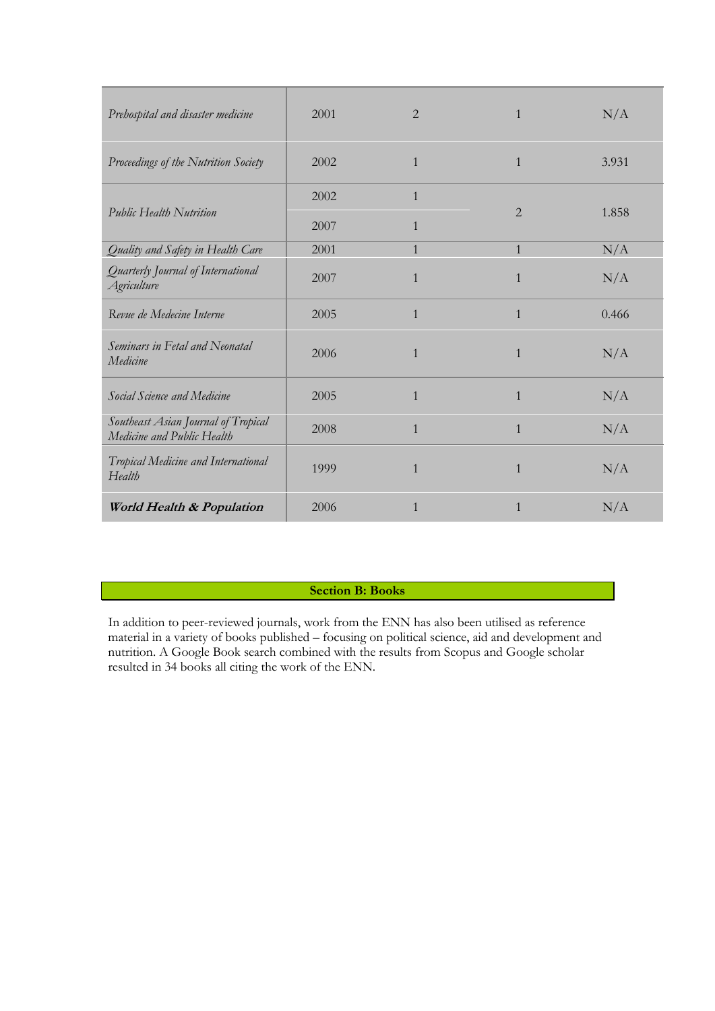| Prehospital and disaster medicine                                 | 2001 | 2            | $\mathbf{1}$   | N/A   |
|-------------------------------------------------------------------|------|--------------|----------------|-------|
| Proceedings of the Nutrition Society                              | 2002 | $\mathbf{1}$ | $\mathbf{1}$   | 3.931 |
|                                                                   | 2002 | $\mathbf{1}$ |                |       |
| <b>Public Health Nutrition</b>                                    | 2007 | $\mathbf{1}$ | $\overline{2}$ | 1.858 |
| Quality and Safety in Health Care                                 | 2001 | $\mathbf{1}$ | $\mathbf{1}$   | N/A   |
| Quarterly Journal of International<br><b>Agriculture</b>          | 2007 | $\mathbf{1}$ | $\mathbf{1}$   | N/A   |
| Revue de Medecine Interne                                         | 2005 | $\mathbf{1}$ | $\mathbf{1}$   | 0.466 |
| Seminars in Fetal and Neonatal<br>Medicine                        | 2006 | $\mathbf{1}$ | $\mathbf{1}$   | N/A   |
| Social Science and Medicine                                       | 2005 | $\mathbf{1}$ | $\mathbf{1}$   | N/A   |
| Southeast Asian Journal of Tropical<br>Medicine and Public Health | 2008 | $\mathbf{1}$ | $\mathbf{1}$   | N/A   |
| Tropical Medicine and International<br>Health                     | 1999 | $\mathbf{1}$ | $\mathbf{1}$   | N/A   |
| World Health & Population                                         | 2006 | $\mathbf{1}$ | $\mathbf{1}$   | N/A   |

**Section B: Books**

In addition to peer-reviewed journals, work from the ENN has also been utilised as reference material in a variety of books published – focusing on political science, aid and development and nutrition. A Google Book search combined with the results from Scopus and Google scholar resulted in 34 books all citing the work of the ENN.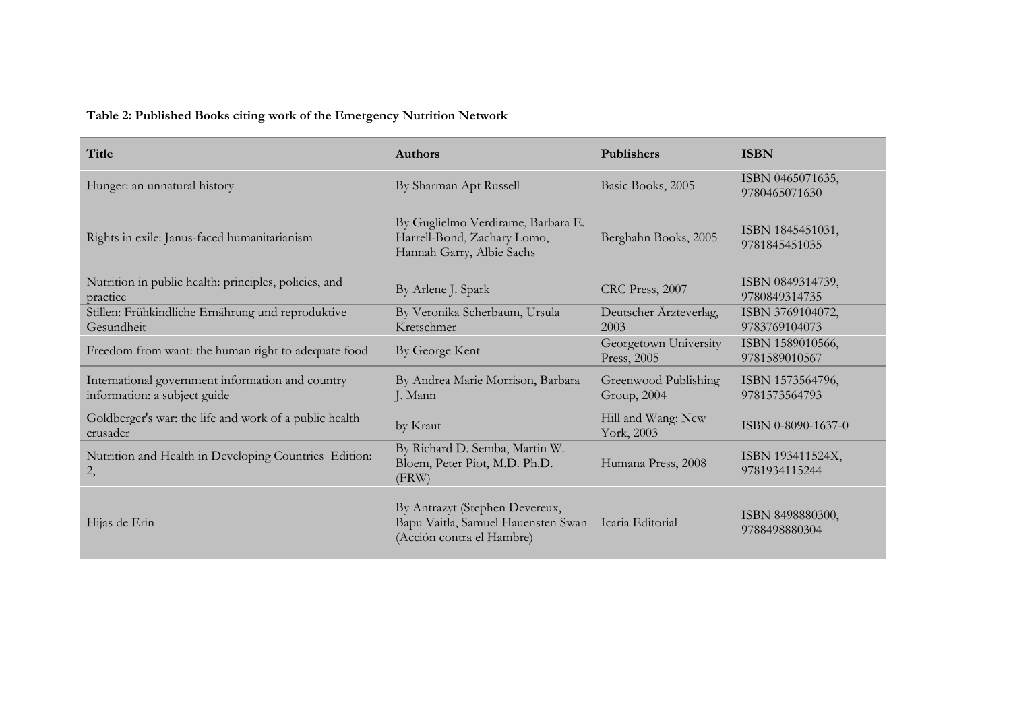# **Table 2: Published Books citing work of the Emergency Nutrition Network**

| Title                                                                            | <b>Authors</b>                                                                                                     | <b>Publishers</b>                    | <b>ISBN</b>                       |
|----------------------------------------------------------------------------------|--------------------------------------------------------------------------------------------------------------------|--------------------------------------|-----------------------------------|
| Hunger: an unnatural history                                                     | By Sharman Apt Russell                                                                                             | Basic Books, 2005                    | ISBN 0465071635,<br>9780465071630 |
| Rights in exile: Janus-faced humanitarianism                                     | By Guglielmo Verdirame, Barbara E.<br>Harrell-Bond, Zachary Lomo,<br>Hannah Garry, Albie Sachs                     | Berghahn Books, 2005                 | ISBN 1845451031,<br>9781845451035 |
| Nutrition in public health: principles, policies, and<br>practice                | By Arlene J. Spark                                                                                                 | CRC Press, 2007                      | ISBN 0849314739,<br>9780849314735 |
| Stillen: Frühkindliche Ernährung und reproduktive<br>Gesundheit                  | By Veronika Scherbaum, Ursula<br>Kretschmer                                                                        | Deutscher Ärzteverlag,<br>2003       | ISBN 3769104072,<br>9783769104073 |
| Freedom from want: the human right to adequate food                              | By George Kent                                                                                                     | Georgetown University<br>Press, 2005 | ISBN 1589010566,<br>9781589010567 |
| International government information and country<br>information: a subject guide | By Andrea Marie Morrison, Barbara<br>J. Mann                                                                       | Greenwood Publishing<br>Group, 2004  | ISBN 1573564796,<br>9781573564793 |
| Goldberger's war: the life and work of a public health<br>crusader               | by Kraut                                                                                                           | Hill and Wang: New<br>York, 2003     | ISBN 0-8090-1637-0                |
| Nutrition and Health in Developing Countries Edition:<br>2,                      | By Richard D. Semba, Martin W.<br>Bloem, Peter Piot, M.D. Ph.D.<br>(FRW)                                           | Humana Press, 2008                   | ISBN 193411524X,<br>9781934115244 |
| Hijas de Erin                                                                    | By Antrazyt (Stephen Devereux,<br>Bapu Vaitla, Samuel Hauensten Swan Icaria Editorial<br>(Acción contra el Hambre) |                                      | ISBN 8498880300,<br>9788498880304 |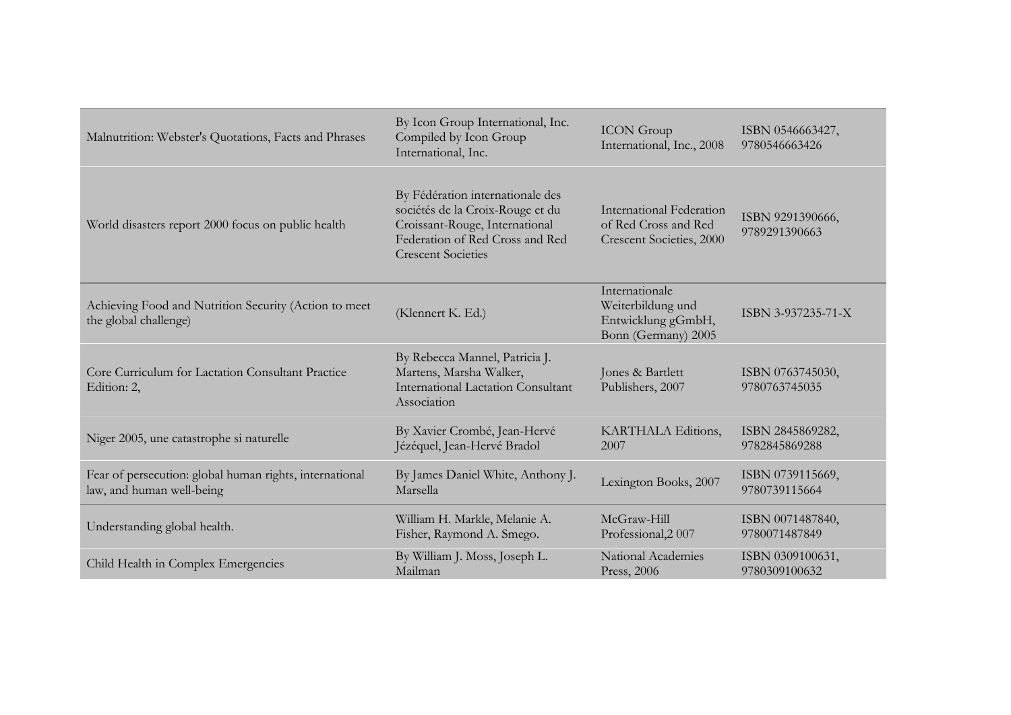| Malnutrition: Webster's Quotations, Facts and Phrases                                | By Icon Group International, Inc.<br>Compiled by Icon Group<br>International, Inc.                                                                                     | <b>ICON</b> Group<br>International, Inc., 2008                                      | ISBN 0546663427,<br>9780546663426 |
|--------------------------------------------------------------------------------------|------------------------------------------------------------------------------------------------------------------------------------------------------------------------|-------------------------------------------------------------------------------------|-----------------------------------|
| World disasters report 2000 focus on public health                                   | By Fédération internationale des<br>sociétés de la Croix-Rouge et du<br>Croissant-Rouge, International<br>Federation of Red Cross and Red<br><b>Crescent Societies</b> | International Federation<br>of Red Cross and Red<br><b>Crescent Societies, 2000</b> | ISBN 9291390666,<br>9789291390663 |
| Achieving Food and Nutrition Security (Action to meet<br>the global challenge)       | (Klennert K. Ed.)                                                                                                                                                      | Internationale<br>Weiterbildung und<br>Entwicklung gGmbH,<br>Bonn (Germany) 2005    | ISBN 3-937235-71-X                |
| Core Curriculum for Lactation Consultant Practice<br>Edition: 2,                     | By Rebecca Mannel, Patricia J.<br>Martens, Marsha Walker,<br><b>International Lactation Consultant</b><br>Association                                                  | Jones & Bartlett<br>Publishers, 2007                                                | ISBN 0763745030,<br>9780763745035 |
| Niger 2005, une catastrophe si naturelle                                             | By Xavier Crombé, Jean-Hervé<br>Jézéquel, Jean-Hervé Bradol                                                                                                            | KARTHALA Editions,<br>2007                                                          | ISBN 2845869282,<br>9782845869288 |
| Fear of persecution: global human rights, international<br>law, and human well-being | By James Daniel White, Anthony J.<br>Marsella                                                                                                                          | Lexington Books, 2007                                                               | ISBN 0739115669,<br>9780739115664 |
| Understanding global health.                                                         | William H. Markle, Melanie A.<br>Fisher, Raymond A. Smego.                                                                                                             | McGraw-Hill<br>Professional, 2007                                                   | ISBN 0071487840,<br>9780071487849 |
| Child Health in Complex Emergencies                                                  | By William J. Moss, Joseph L.<br>Mailman                                                                                                                               | National Academies<br>Press, 2006                                                   | ISBN 0309100631,<br>9780309100632 |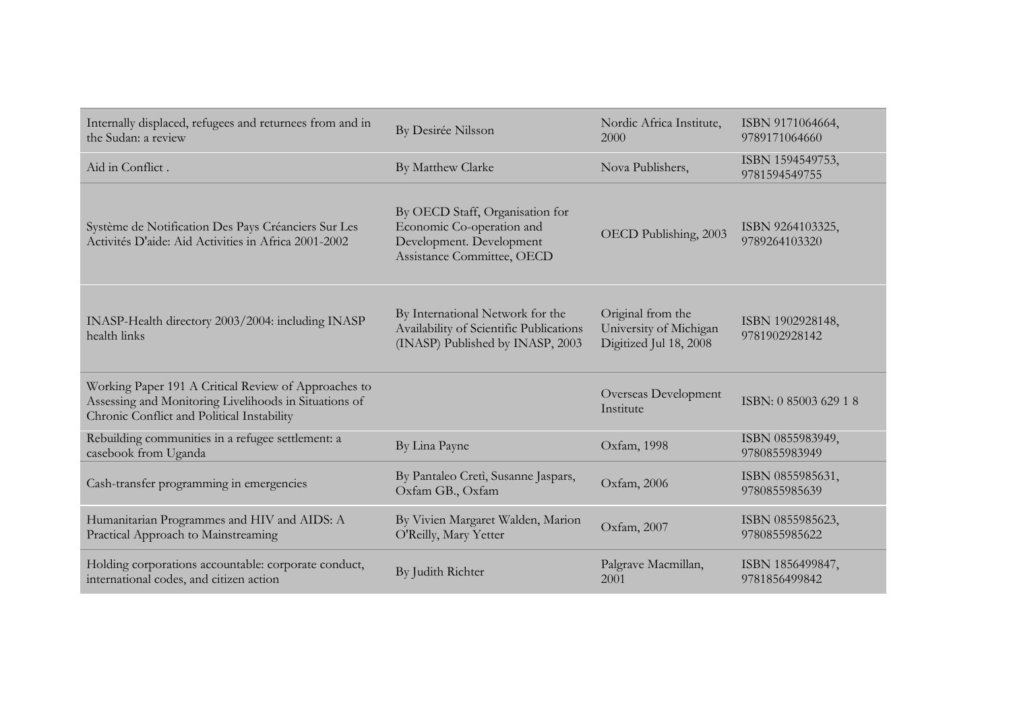| Internally displaced, refugees and returnees from and in<br>the Sudan: a review                                                                             | By Desirée Nilsson                                                                                                     | Nordic Africa Institute,<br>2000                                      | ISBN 9171064664,<br>9789171064660 |
|-------------------------------------------------------------------------------------------------------------------------------------------------------------|------------------------------------------------------------------------------------------------------------------------|-----------------------------------------------------------------------|-----------------------------------|
| Aid in Conflict.                                                                                                                                            | By Matthew Clarke                                                                                                      | Nova Publishers,                                                      | ISBN 1594549753,<br>9781594549755 |
| Système de Notification Des Pays Créanciers Sur Les<br>Activités D'aide: Aid Activities in Africa 2001-2002                                                 | By OECD Staff, Organisation for<br>Economic Co-operation and<br>Development. Development<br>Assistance Committee, OECD | OECD Publishing, 2003                                                 | ISBN 9264103325,<br>9789264103320 |
| INASP-Health directory 2003/2004: including INASP<br>health links                                                                                           | By International Network for the<br>Availability of Scientific Publications<br>(INASP) Published by INASP, 2003        | Original from the<br>University of Michigan<br>Digitized Jul 18, 2008 | ISBN 1902928148,<br>9781902928142 |
| Working Paper 191 A Critical Review of Approaches to<br>Assessing and Monitoring Livelihoods in Situations of<br>Chronic Conflict and Political Instability |                                                                                                                        | Overseas Development<br>Institute                                     | ISBN: 0 85003 629 1 8             |
| Rebuilding communities in a refugee settlement: a<br>casebook from Uganda                                                                                   | By Lina Payne                                                                                                          | Oxfam, 1998                                                           | ISBN 0855983949,<br>9780855983949 |
| Cash-transfer programming in emergencies                                                                                                                    | By Pantaleo Cretì, Susanne Jaspars,<br>Oxfam GB., Oxfam                                                                | Oxfam, 2006                                                           | ISBN 0855985631,<br>9780855985639 |
| Humanitarian Programmes and HIV and AIDS: A<br>Practical Approach to Mainstreaming                                                                          | By Vivien Margaret Walden, Marion<br>O'Reilly, Mary Yetter                                                             | Oxfam, 2007                                                           | ISBN 0855985623,<br>9780855985622 |
| Holding corporations accountable: corporate conduct,<br>international codes, and citizen action                                                             | By Judith Richter                                                                                                      | Palgrave Macmillan,<br>2001                                           | ISBN 1856499847,<br>9781856499842 |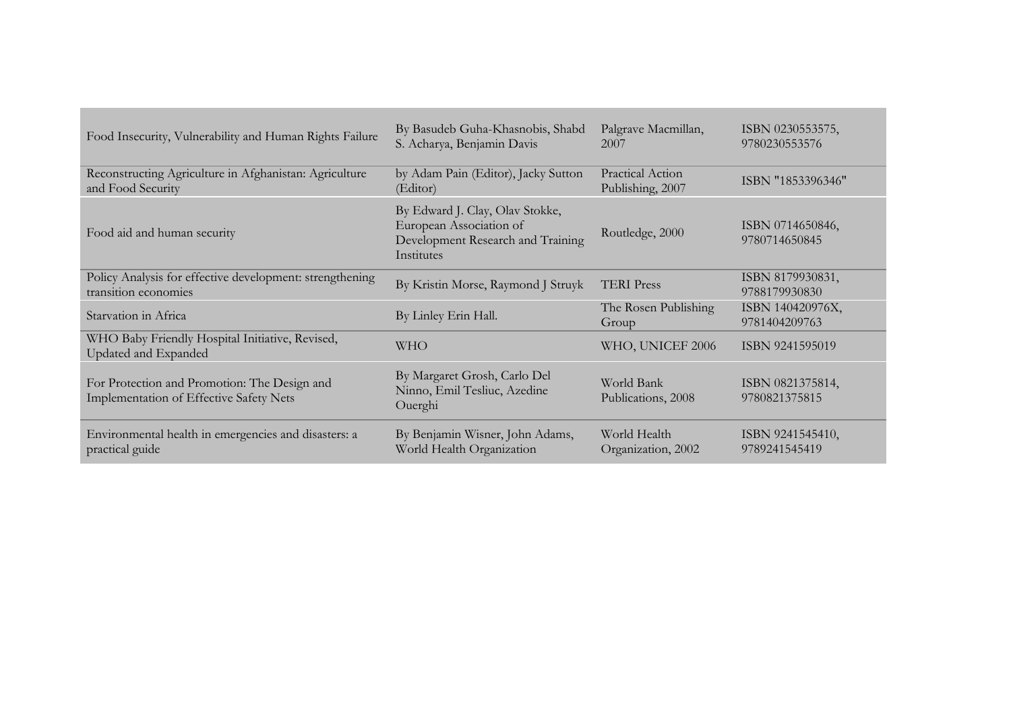| Food Insecurity, Vulnerability and Human Rights Failure                                        | By Basudeb Guha-Khasnobis, Shabd<br>S. Acharya, Benjamin Davis                                                | Palgrave Macmillan,<br>2007          | ISBN 0230553575,<br>9780230553576 |
|------------------------------------------------------------------------------------------------|---------------------------------------------------------------------------------------------------------------|--------------------------------------|-----------------------------------|
| Reconstructing Agriculture in Afghanistan: Agriculture<br>and Food Security                    | by Adam Pain (Editor), Jacky Sutton<br>(Editor)                                                               | Practical Action<br>Publishing, 2007 | ISBN "1853396346"                 |
| Food aid and human security                                                                    | By Edward J. Clay, Olav Stokke,<br>European Association of<br>Development Research and Training<br>Institutes | Routledge, 2000                      | ISBN 0714650846,<br>9780714650845 |
| Policy Analysis for effective development: strengthening<br>transition economies               | By Kristin Morse, Raymond J Struyk                                                                            | <b>TERI</b> Press                    | ISBN 8179930831,<br>9788179930830 |
| Starvation in Africa                                                                           | By Linley Erin Hall.                                                                                          | The Rosen Publishing<br>Group        | ISBN 140420976X,<br>9781404209763 |
| WHO Baby Friendly Hospital Initiative, Revised,<br>Updated and Expanded                        | <b>WHO</b>                                                                                                    | WHO, UNICEF 2006                     | ISBN 9241595019                   |
| For Protection and Promotion: The Design and<br><b>Implementation of Effective Safety Nets</b> | By Margaret Grosh, Carlo Del<br>Ninno, Emil Tesliuc, Azedine<br>Ouerghi                                       | World Bank<br>Publications, 2008     | ISBN 0821375814,<br>9780821375815 |
| Environmental health in emergencies and disasters: a<br>practical guide                        | By Benjamin Wisner, John Adams,<br>World Health Organization                                                  | World Health<br>Organization, 2002   | ISBN 9241545410,<br>9789241545419 |

**Contract Contract Contract**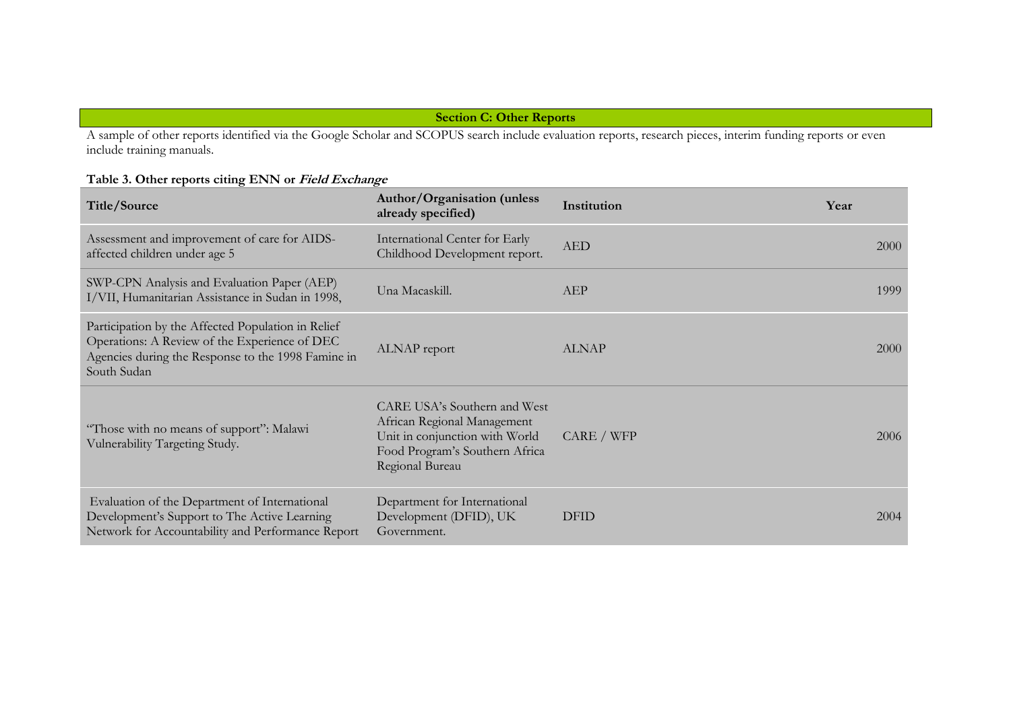# **Section C: Other Reports**

A sample of other reports identified via the Google Scholar and SCOPUS search include evaluation reports, research pieces, interim funding reports or even include training manuals.

# **Table 3. Other reports citing ENN or Field Exchange**

| Title/Source                                                                                                                                                             | Author/Organisation (unless<br>already specified)                                                                                                  | Institution  | Year |
|--------------------------------------------------------------------------------------------------------------------------------------------------------------------------|----------------------------------------------------------------------------------------------------------------------------------------------------|--------------|------|
| Assessment and improvement of care for AIDS-<br>affected children under age 5                                                                                            | International Center for Early<br>Childhood Development report.                                                                                    | <b>AED</b>   | 2000 |
| SWP-CPN Analysis and Evaluation Paper (AEP)<br>I/VII, Humanitarian Assistance in Sudan in 1998,                                                                          | Una Macaskill.                                                                                                                                     | AEP          | 1999 |
| Participation by the Affected Population in Relief<br>Operations: A Review of the Experience of DEC<br>Agencies during the Response to the 1998 Famine in<br>South Sudan | ALNAP report                                                                                                                                       | <b>ALNAP</b> | 2000 |
| "Those with no means of support": Malawi<br>Vulnerability Targeting Study.                                                                                               | CARE USA's Southern and West<br>African Regional Management<br>Unit in conjunction with World<br>Food Program's Southern Africa<br>Regional Bureau | CARE / WFP   | 2006 |
| Evaluation of the Department of International<br>Development's Support to The Active Learning<br>Network for Accountability and Performance Report                       | Department for International<br>Development (DFID), UK<br>Government.                                                                              | <b>DFID</b>  | 2004 |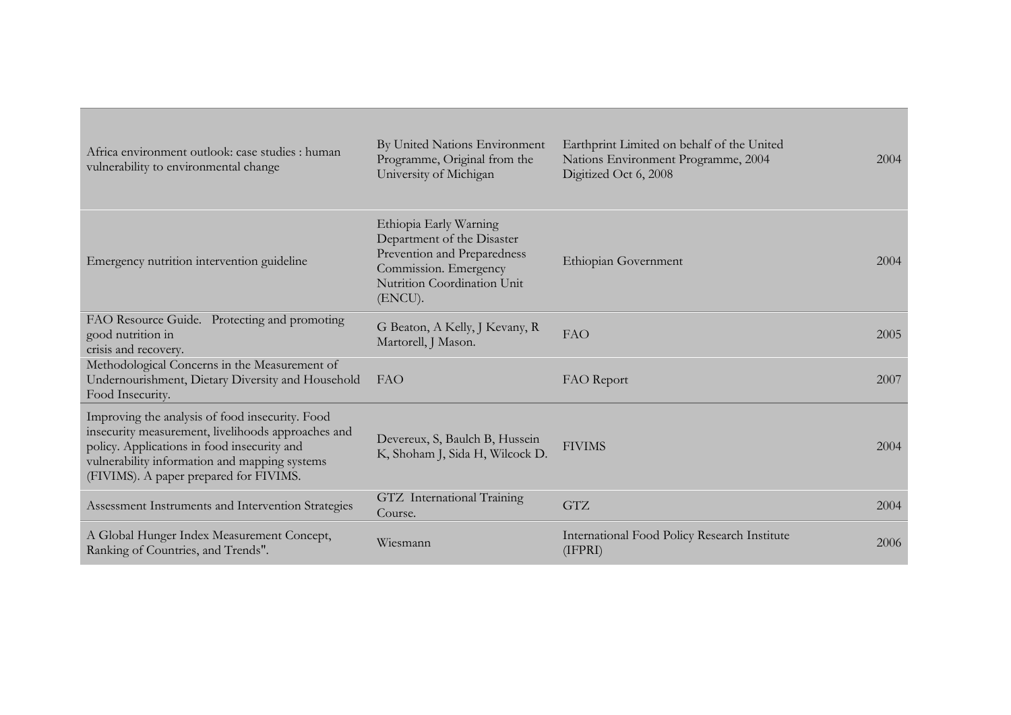| Africa environment outlook: case studies : human<br>vulnerability to environmental change                                                                                                                                                       | By United Nations Environment<br>Programme, Original from the<br>University of Michigan                                                                | Earthprint Limited on behalf of the United<br>Nations Environment Programme, 2004<br>Digitized Oct 6, 2008 | 2004 |
|-------------------------------------------------------------------------------------------------------------------------------------------------------------------------------------------------------------------------------------------------|--------------------------------------------------------------------------------------------------------------------------------------------------------|------------------------------------------------------------------------------------------------------------|------|
| Emergency nutrition intervention guideline                                                                                                                                                                                                      | Ethiopia Early Warning<br>Department of the Disaster<br>Prevention and Preparedness<br>Commission. Emergency<br>Nutrition Coordination Unit<br>(ENCU). | Ethiopian Government                                                                                       | 2004 |
| FAO Resource Guide. Protecting and promoting<br>good nutrition in<br>crisis and recovery.                                                                                                                                                       | G Beaton, A Kelly, J Kevany, R<br>Martorell, J Mason.                                                                                                  | FAO                                                                                                        | 2005 |
| Methodological Concerns in the Measurement of<br>Undernourishment, Dietary Diversity and Household<br>Food Insecurity.                                                                                                                          | FAO                                                                                                                                                    | FAO Report                                                                                                 | 2007 |
| Improving the analysis of food insecurity. Food<br>insecurity measurement, livelihoods approaches and<br>policy. Applications in food insecurity and<br>vulnerability information and mapping systems<br>(FIVIMS). A paper prepared for FIVIMS. | Devereux, S, Baulch B, Hussein<br>K, Shoham J, Sida H, Wilcock D.                                                                                      | <b>FIVIMS</b>                                                                                              | 2004 |
| Assessment Instruments and Intervention Strategies                                                                                                                                                                                              | GTZ International Training<br>Course.                                                                                                                  | <b>GTZ</b>                                                                                                 | 2004 |
| A Global Hunger Index Measurement Concept,<br>Ranking of Countries, and Trends".                                                                                                                                                                | Wiesmann                                                                                                                                               | International Food Policy Research Institute<br>(IFPRI)                                                    | 2006 |

的,我们也不会有什么。""我们的人,我们也不会有什么?""我们的人,我们也不会有什么?""我们的人,我们也不会有什么?""我们的人,我们也不会有什么?""我们的

and the control of the control of the control of the control of the control of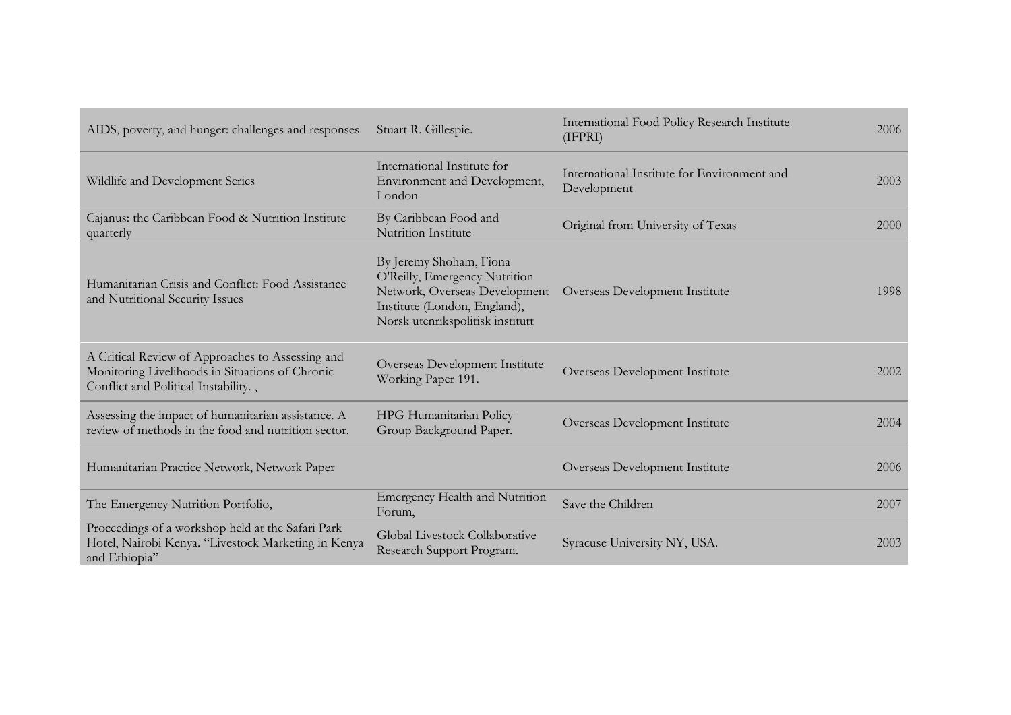| AIDS, poverty, and hunger: challenges and responses                                                                                         | Stuart R. Gillespie.                                                                                                                                          | International Food Policy Research Institute<br>(IFPRI)    | 2006 |
|---------------------------------------------------------------------------------------------------------------------------------------------|---------------------------------------------------------------------------------------------------------------------------------------------------------------|------------------------------------------------------------|------|
| Wildlife and Development Series                                                                                                             | International Institute for<br>Environment and Development,<br>London                                                                                         | International Institute for Environment and<br>Development | 2003 |
| Cajanus: the Caribbean Food & Nutrition Institute<br>quarterly                                                                              | By Caribbean Food and<br><b>Nutrition Institute</b>                                                                                                           | Original from University of Texas                          | 2000 |
| Humanitarian Crisis and Conflict: Food Assistance<br>and Nutritional Security Issues                                                        | By Jeremy Shoham, Fiona<br>O'Reilly, Emergency Nutrition<br>Network, Overseas Development<br>Institute (London, England),<br>Norsk utenrikspolitisk institutt | Overseas Development Institute                             | 1998 |
| A Critical Review of Approaches to Assessing and<br>Monitoring Livelihoods in Situations of Chronic<br>Conflict and Political Instability., | Overseas Development Institute<br>Working Paper 191.                                                                                                          | Overseas Development Institute                             | 2002 |
| Assessing the impact of humanitarian assistance. A<br>review of methods in the food and nutrition sector.                                   | HPG Humanitarian Policy<br>Group Background Paper.                                                                                                            | Overseas Development Institute                             | 2004 |
| Humanitarian Practice Network, Network Paper                                                                                                |                                                                                                                                                               | Overseas Development Institute                             | 2006 |
| The Emergency Nutrition Portfolio,                                                                                                          | <b>Emergency Health and Nutrition</b><br>Forum,                                                                                                               | Save the Children                                          | 2007 |
| Proceedings of a workshop held at the Safari Park<br>Hotel, Nairobi Kenya. "Livestock Marketing in Kenya<br>and Ethiopia"                   | Global Livestock Collaborative<br>Research Support Program.                                                                                                   | Syracuse University NY, USA.                               | 2003 |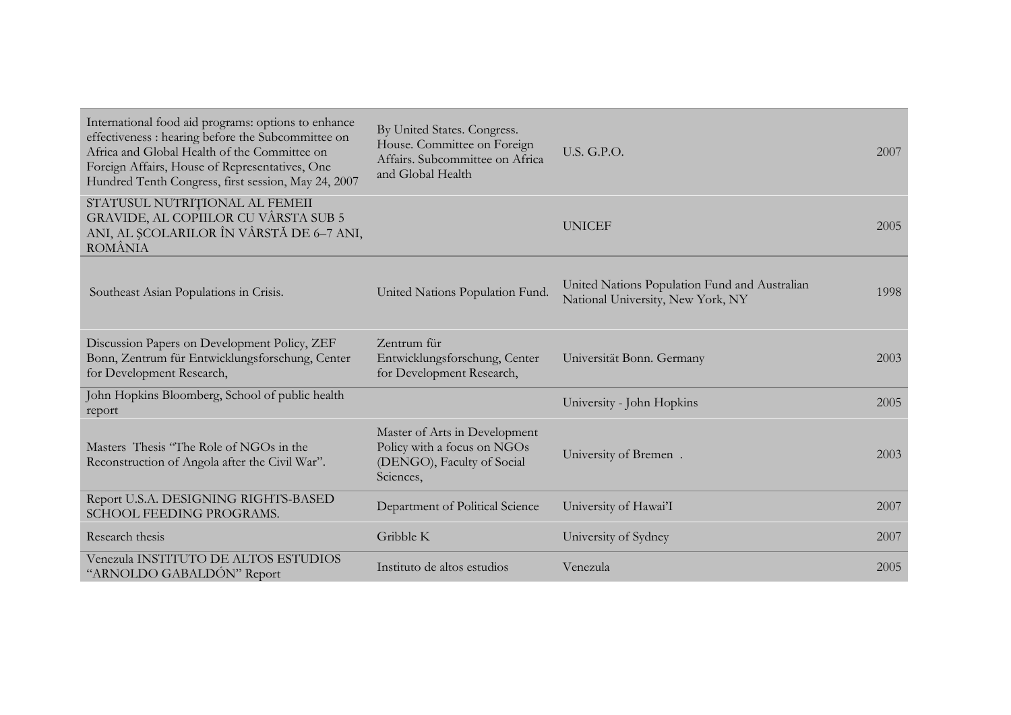| International food aid programs: options to enhance<br>effectiveness : hearing before the Subcommittee on<br>Africa and Global Health of the Committee on<br>Foreign Affairs, House of Representatives, One<br>Hundred Tenth Congress, first session, May 24, 2007 | By United States. Congress.<br>House. Committee on Foreign<br>Affairs. Subcommittee on Africa<br>and Global Health | <b>U.S. G.P.O.</b>                                                                 | 2007 |
|--------------------------------------------------------------------------------------------------------------------------------------------------------------------------------------------------------------------------------------------------------------------|--------------------------------------------------------------------------------------------------------------------|------------------------------------------------------------------------------------|------|
| STATUSUL NUTRIȚIONAL AL FEMEII<br>GRAVIDE, AL COPIILOR CU VÂRSTA SUB 5<br>ANI, AL ȘCOLARILOR ÎN VÂRSTĂ DE 6–7 ANI,<br>ROMÂNIA                                                                                                                                      |                                                                                                                    | <b>UNICEF</b>                                                                      | 2005 |
| Southeast Asian Populations in Crisis.                                                                                                                                                                                                                             | United Nations Population Fund.                                                                                    | United Nations Population Fund and Australian<br>National University, New York, NY | 1998 |
| Discussion Papers on Development Policy, ZEF<br>Bonn, Zentrum für Entwicklungsforschung, Center<br>for Development Research,                                                                                                                                       | Zentrum für<br>Entwicklungsforschung, Center<br>for Development Research,                                          | Universität Bonn. Germany                                                          | 2003 |
| John Hopkins Bloomberg, School of public health<br>report                                                                                                                                                                                                          |                                                                                                                    | University - John Hopkins                                                          | 2005 |
| Masters Thesis "The Role of NGOs in the<br>Reconstruction of Angola after the Civil War".                                                                                                                                                                          | Master of Arts in Development<br>Policy with a focus on NGOs<br>(DENGO), Faculty of Social<br>Sciences,            | University of Bremen.                                                              | 2003 |
| Report U.S.A. DESIGNING RIGHTS-BASED<br>SCHOOL FEEDING PROGRAMS.                                                                                                                                                                                                   | Department of Political Science                                                                                    | University of Hawai'I                                                              | 2007 |
| Research thesis                                                                                                                                                                                                                                                    | Gribble K                                                                                                          | University of Sydney                                                               | 2007 |
| Venezula INSTITUTO DE ALTOS ESTUDIOS<br>"ARNOLDO GABALDÓN" Report                                                                                                                                                                                                  | Instituto de altos estudios                                                                                        | Venezula                                                                           | 2005 |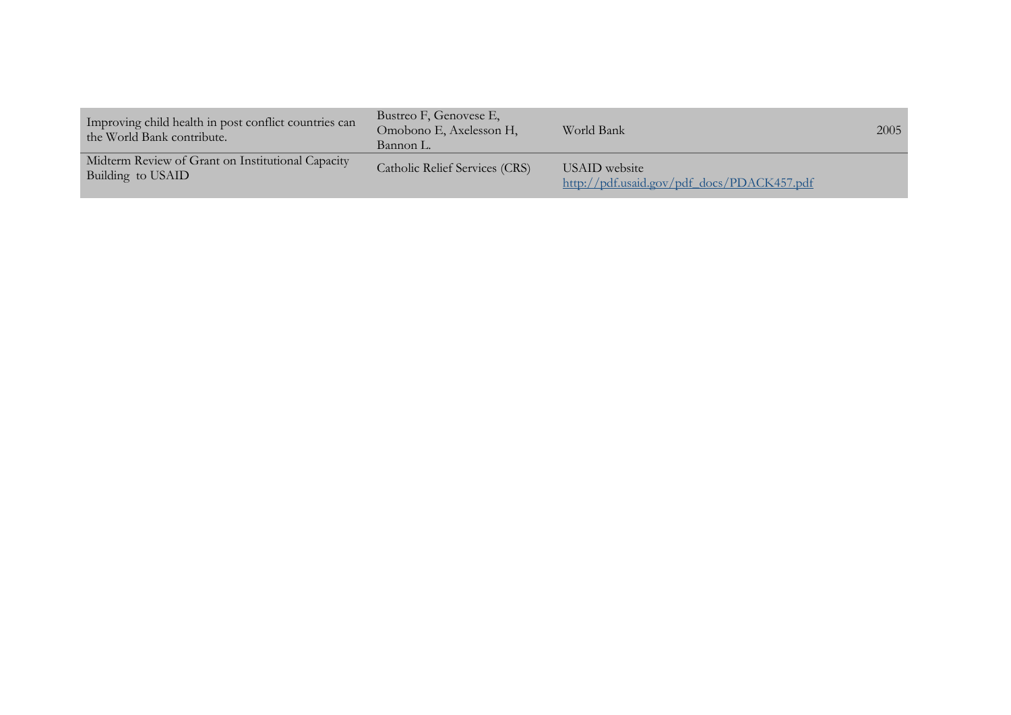| Improving child health in post conflict countries can<br>the World Bank contribute. | Bustreo F, Genovese E,<br>Omobono E, Axelesson H,<br>Bannon L. | World Bank                                                  | 2005 |
|-------------------------------------------------------------------------------------|----------------------------------------------------------------|-------------------------------------------------------------|------|
| Midterm Review of Grant on Institutional Capacity<br>Building to USAID              | Catholic Relief Services (CRS)                                 | USAID website<br>http://pdf.usaid.gov/pdf docs/PDACK457.pdf |      |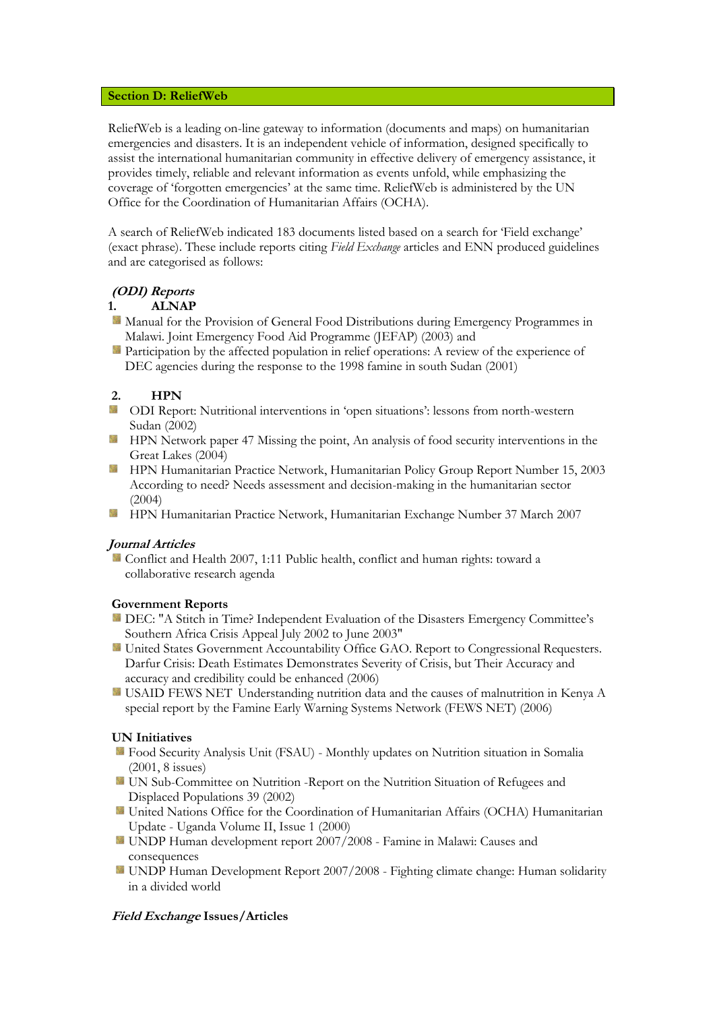### **Section D: ReliefWeb**

ReliefWeb is a leading on-line gateway to information (documents and maps) on humanitarian emergencies and disasters. It is an independent vehicle of information, designed specifically to assist the international humanitarian community in effective delivery of emergency assistance, it provides timely, reliable and relevant information as events unfold, while emphasizing the coverage of 'forgotten emergencies' at the same time. ReliefWeb is administered by the UN Office for the Coordination of Humanitarian Affairs (OCHA).

A search of ReliefWeb indicated 183 documents listed based on a search for 'Field exchange' (exact phrase). These include reports citing *Field Exchange* articles and ENN produced guidelines and are categorised as follows:

# **(ODI) Reports**

# **1. ALNAP**

- Manual for the Provision of General Food Distributions during Emergency Programmes in Malawi. Joint Emergency Food Aid Programme (JEFAP) (2003) and
- Participation by the affected population in relief operations: A review of the experience of DEC agencies during the response to the 1998 famine in south Sudan (2001)

# **2. HPN**

- **ECODI Report:** Nutritional interventions in 'open situations': lessons from north-western Sudan (2002)
- **HPN** Network paper 47 Missing the point, An analysis of food security interventions in the Great Lakes (2004)
- **HPN Humanitarian Practice Network, Humanitarian Policy Group Report Number 15, 2003** According to need? Needs assessment and decision-making in the humanitarian sector (2004)
- 簿 HPN Humanitarian Practice Network, Humanitarian Exchange Number 37 March 2007

### **Journal Articles**

Conflict and Health 2007, 1:11 Public health, conflict and human rights: toward a collaborative research agenda

### **Government Reports**

- DEC: "A Stitch in Time? Independent Evaluation of the Disasters Emergency Committee's Southern Africa Crisis Appeal July 2002 to June 2003"
- 箋 United States Government Accountability Office GAO. Report to Congressional Requesters. Darfur Crisis: Death Estimates Demonstrates Severity of Crisis, but Their Accuracy and accuracy and credibility could be enhanced (2006)
- USAID FEWS NET Understanding nutrition data and the causes of malnutrition in Kenya A special report by the Famine Early Warning Systems Network (FEWS NET) (2006)

#### **UN Initiatives**

- Food Security Analysis Unit (FSAU) Monthly updates on Nutrition situation in Somalia (2001, 8 issues)
- UN Sub-Committee on Nutrition -Report on the Nutrition Situation of Refugees and Displaced Populations 39 (2002)
- United Nations Office for the Coordination of Humanitarian Affairs (OCHA) Humanitarian Update - Uganda Volume II, Issue 1 (2000)
- UNDP Human development report 2007/2008 Famine in Malawi: Causes and consequences
- UNDP Human Development Report 2007/2008 Fighting climate change: Human solidarity in a divided world

### **Field Exchange Issues/Articles**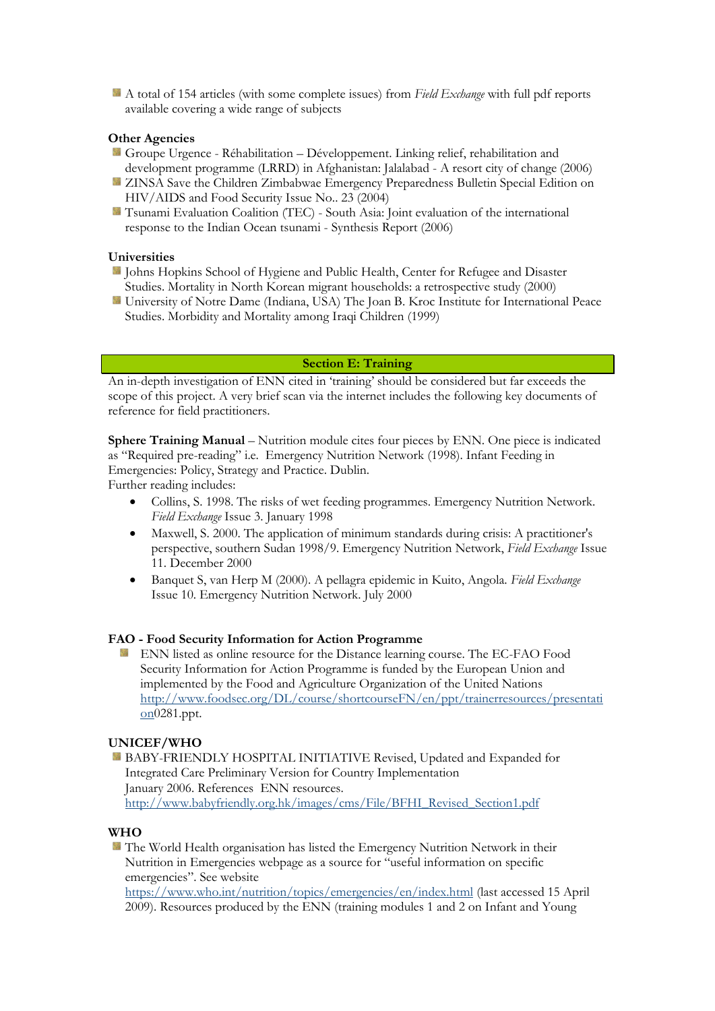A total of 154 articles (with some complete issues) from *Field Exchange* with full pdf reports available covering a wide range of subjects

### **Other Agencies**

- Groupe Urgence Réhabilitation Développement. Linking relief, rehabilitation and development programme (LRRD) in Afghanistan: Jalalabad - A resort city of change (2006)
- ZINSA Save the Children Zimbabwae Emergency Preparedness Bulletin Special Edition on HIV/AIDS and Food Security Issue No.. 23 (2004)
- Tsunami Evaluation Coalition (TEC) South Asia: Joint evaluation of the international response to the Indian Ocean tsunami - Synthesis Report (2006)

#### **Universities**

- Johns Hopkins School of Hygiene and Public Health, Center for Refugee and Disaster Studies. Mortality in North Korean migrant households: a retrospective study (2000)
- University of Notre Dame (Indiana, USA) The Joan B. Kroc Institute for International Peace Studies. Morbidity and Mortality among Iraqi Children (1999)

# **Section E: Training**

An in-depth investigation of ENN cited in 'training' should be considered but far exceeds the scope of this project. A very brief scan via the internet includes the following key documents of reference for field practitioners.

**Sphere Training Manual** – Nutrition module cites four pieces by ENN. One piece is indicated as "Required pre-reading" i.e. Emergency Nutrition Network (1998). Infant Feeding in Emergencies: Policy, Strategy and Practice. Dublin.

Further reading includes:

- Collins, S. 1998. The risks of wet feeding programmes. Emergency Nutrition Network. *Field Exchange* Issue 3. January 1998
- Maxwell, S. 2000. The application of minimum standards during crisis: A practitioner's perspective, southern Sudan 1998/9. Emergency Nutrition Network, *Field Exchange* Issue 11. December 2000
- Banquet S, van Herp M (2000). A pellagra epidemic in Kuito, Angola. *Field Exchange* Issue 10. Emergency Nutrition Network. July 2000

#### **FAO - Food Security Information for Action Programme**

ENN listed as online resource for the Distance learning course. The EC-FAO Food Security Information for Action Programme is funded by the European Union and implemented by the Food and Agriculture Organization of the United Nations [http://www.foodsec.org/DL/course/shortcourseFN/en/ppt/trainerresources/presentati](http://www.foodsec.org/DL/course/shortcourseFN/en/ppt/trainerresources/presentation) [on0](http://www.foodsec.org/DL/course/shortcourseFN/en/ppt/trainerresources/presentation)281.ppt.

#### **UNICEF/WHO**

BABY-FRIENDLY HOSPITAL INITIATIVE Revised, Updated and Expanded for Integrated Care Preliminary Version for Country Implementation January 2006. References ENN resources. [http://www.babyfriendly.org.hk/images/cms/File/BFHI\\_Revised\\_Section1.pdf](http://www.babyfriendly.org.hk/images/cms/File/BFHI_Revised_Section1.pdf)

#### **WHO**

**The World Health organisation has listed the Emergency Nutrition Network in their** Nutrition in Emergencies webpage as a source for "useful information on specific emergencies". See website <https://www.who.int/nutrition/topics/emergencies/en/index.html> (last accessed 15 April 2009). Resources produced by the ENN (training modules 1 and 2 on Infant and Young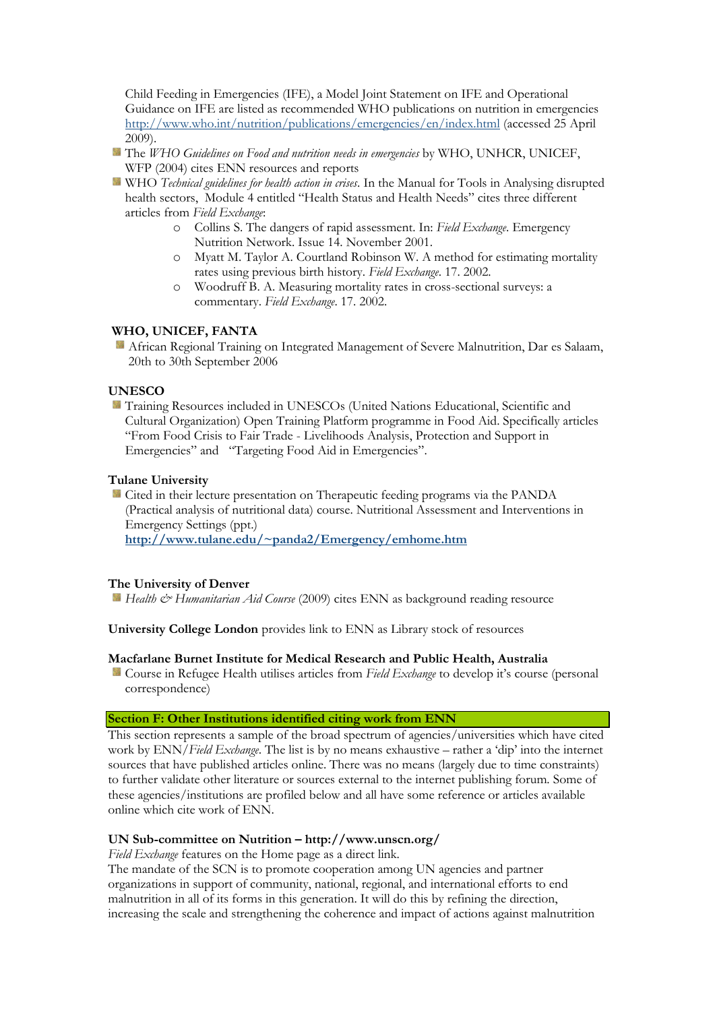Child Feeding in Emergencies (IFE), a Model Joint Statement on IFE and Operational Guidance on IFE are listed as recommended WHO publications on nutrition in emergencies <http://www.who.int/nutrition/publications/emergencies/en/index.html> (accessed 25 April 2009).

- **The WHO Guidelines on Food and nutrition needs in emergencies by WHO, UNHCR, UNICEF,** WFP (2004) cites ENN resources and reports
- **WHO** *Technical guidelines for health action in crises*. In the Manual for Tools in Analysing disrupted health sectors, Module 4 entitled "Health Status and Health Needs" cites three different articles from *Field Exchange*:
	- o Collins S. The dangers of rapid assessment. In: *Field Exchange*. Emergency Nutrition Network. Issue 14. November 2001.
	- o Myatt M. Taylor A. Courtland Robinson W. A method for estimating mortality rates using previous birth history. *Field Exchange*. 17. 2002.
	- o Woodruff B. A. Measuring mortality rates in cross-sectional surveys: a commentary. *Field Exchange*. 17. 2002.

### **WHO, UNICEF, FANTA**

African Regional Training on Integrated Management of Severe Malnutrition, Dar es Salaam, 20th to 30th September 2006

#### **UNESCO**

Training Resources included in UNESCOs (United Nations Educational, Scientific and Cultural Organization) Open Training Platform programme in Food Aid. Specifically articles "From Food Crisis to Fair Trade - Livelihoods Analysis, Protection and Support in Emergencies" and "Targeting Food Aid in Emergencies".

### **Tulane University**

Cited in their lecture presentation on Therapeutic feeding programs via the PANDA (Practical analysis of nutritional data) course. Nutritional Assessment and Interventions in Emergency Settings (ppt.)

**<http://www.tulane.edu/~panda2/Emergency/emhome.htm>**

#### **The University of Denver**

*Health & Humanitarian Aid Course* (2009) cites ENN as background reading resource

**University College London** provides link to ENN as Library stock of resources

#### **Macfarlane Burnet Institute for Medical Research and Public Health, Australia**

Course in Refugee Health utilises articles from *Field Exchange* to develop it's course (personal correspondence)

### **Section F: Other Institutions identified citing work from ENN**

This section represents a sample of the broad spectrum of agencies/universities which have cited work by ENN/*Field Exchange*. The list is by no means exhaustive – rather a 'dip' into the internet sources that have published articles online. There was no means (largely due to time constraints) to further validate other literature or sources external to the internet publishing forum. Some of these agencies/institutions are profiled below and all have some reference or articles available online which cite work of ENN.

#### **UN Sub-committee on Nutrition – http://www.unscn.org/**

*Field Exchange* features on the Home page as a direct link.

The mandate of the SCN is to promote cooperation among UN agencies and partner organizations in support of community, national, regional, and international efforts to end malnutrition in all of its forms in this generation. It will do this by refining the direction, increasing the scale and strengthening the coherence and impact of actions against malnutrition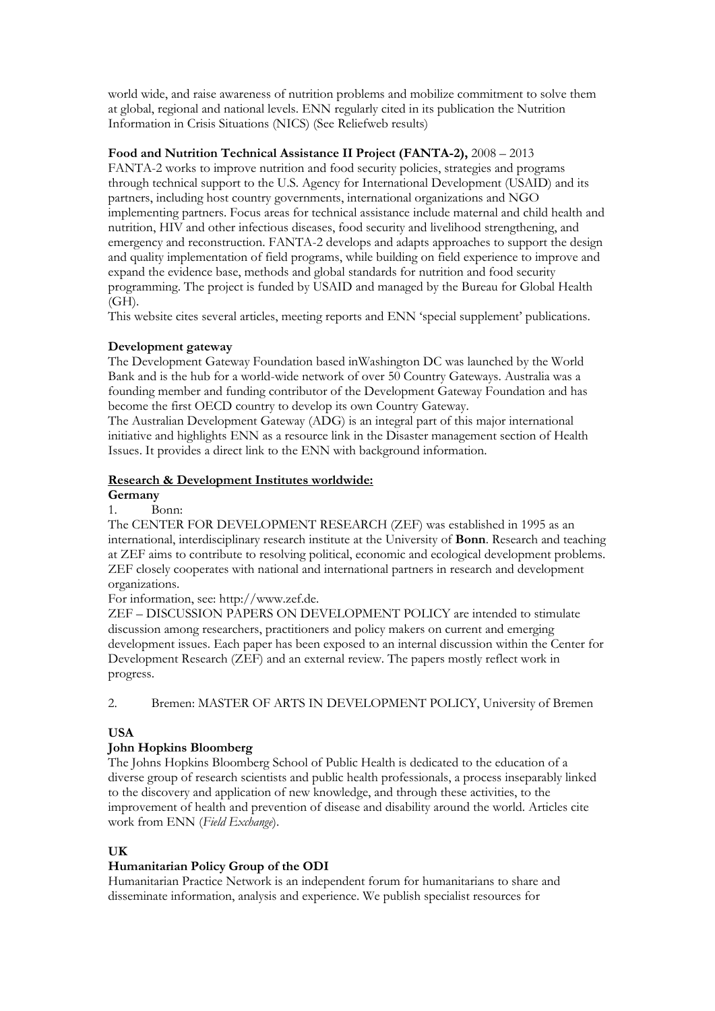world wide, and raise awareness of nutrition problems and mobilize commitment to solve them at global, regional and national levels. ENN regularly cited in its publication the Nutrition Information in Crisis Situations (NICS) (See Reliefweb results)

### **Food and Nutrition Technical Assistance II Project (FANTA-2),** 2008 – 2013

FANTA-2 works to improve nutrition and food security policies, strategies and programs through technical support to the U.S. Agency for International Development (USAID) and its partners, including host country governments, international organizations and NGO implementing partners. Focus areas for technical assistance include maternal and child health and nutrition, HIV and other infectious diseases, food security and livelihood strengthening, and emergency and reconstruction. FANTA-2 develops and adapts approaches to support the design and quality implementation of field programs, while building on field experience to improve and expand the evidence base, methods and global standards for nutrition and food security programming. The project is funded by USAID and managed by the Bureau for Global Health (GH).

This website cites several articles, meeting reports and ENN 'special supplement' publications.

# **Development gateway**

The Development Gateway Foundation based inWashington DC was launched by the World Bank and is the hub for a world-wide network of over 50 Country Gateways. Australia was a founding member and funding contributor of the Development Gateway Foundation and has become the first OECD country to develop its own Country Gateway.

The Australian Development Gateway (ADG) is an integral part of this major international initiative and highlights ENN as a resource link in the Disaster management section of Health Issues. It provides a direct link to the ENN with background information.

# **Research & Development Institutes worldwide:**

#### **Germany**

1. Bonn:

The CENTER FOR DEVELOPMENT RESEARCH (ZEF) was established in 1995 as an international, interdisciplinary research institute at the University of **Bonn**. Research and teaching at ZEF aims to contribute to resolving political, economic and ecological development problems. ZEF closely cooperates with national and international partners in research and development organizations.

For information, see: http://www.zef.de.

ZEF – DISCUSSION PAPERS ON DEVELOPMENT POLICY are intended to stimulate discussion among researchers, practitioners and policy makers on current and emerging development issues. Each paper has been exposed to an internal discussion within the Center for Development Research (ZEF) and an external review. The papers mostly reflect work in progress.

2. Bremen: MASTER OF ARTS IN DEVELOPMENT POLICY, University of Bremen

# **USA**

# **John Hopkins Bloomberg**

The Johns Hopkins Bloomberg School of Public Health is dedicated to the education of a diverse group of research scientists and public health professionals, a process inseparably linked to the discovery and application of new knowledge, and through these activities, to the improvement of health and prevention of disease and disability around the world. Articles cite work from ENN (*Field Exchange*).

### **UK**

### **Humanitarian Policy Group of the ODI**

Humanitarian Practice Network is an independent forum for humanitarians to share and disseminate information, analysis and experience. We publish specialist resources for